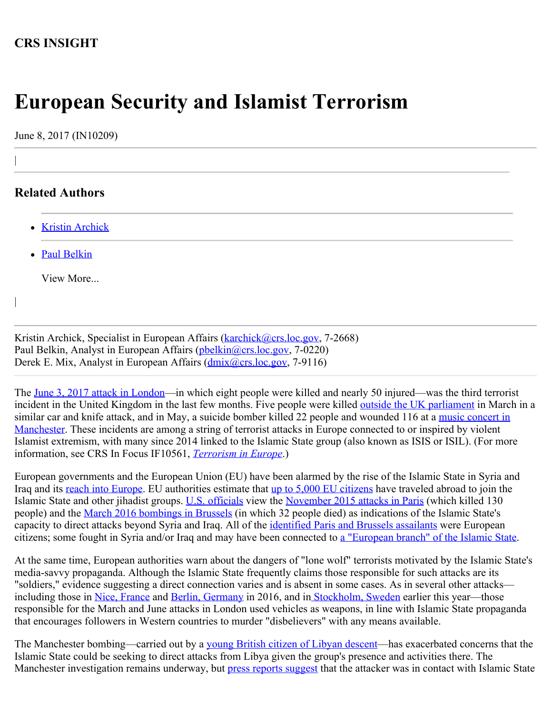# **CRS INSIGHT**

# **European Security and Islamist Terrorism**

June 8, 2017 (IN10209)

## **Related Authors**

|

|

- [Kristin Archick](http://www.crs.gov/Author/index?id=72519)
- [Paul Belkin](http://www.crs.gov/Author/index?id=100862)

View More...

Kristin Archick, Specialist in European Affairs ([karchick@crs.loc.gov,](mailto:karchick@crs.loc.gov) 7-2668) Paul Belkin, Analyst in European Affairs ([pbelkin@crs.loc.gov](mailto:pbelkin@crs.loc.gov), 7-0220) Derek E. Mix, Analyst in European Affairs (*dmix@crs.loc.gov, 7-9116*)

The [June 3, 2017 attack in London—](http://www.bbc.com/news/uk-england-london-40147164)in which eight people were killed and nearly 50 injured—was the third terrorist incident in the United Kingdom in the last few months. Five people were killed [outside the UK parliament](https://www.nytimes.com/2017/03/22/world/europe/uk-westminster-parliament-shooting.html?_r=0) in March in a similar car and knife attack, and in May, a suicide bomber killed 22 people and wounded 116 at a [music concert in](http://www.bbc.com/news/uk-england-manchester-40008389) [Manchester.](http://www.bbc.com/news/uk-england-manchester-40008389) These incidents are among a string of terrorist attacks in Europe connected to or inspired by violent Islamist extremism, with many since 2014 linked to the Islamic State group (also known as ISIS or ISIL). (For more information, see CRS In Focus IF10561, *[Terrorism in Europe](http://www.crs.gov/Reports/IF10561)*.)

European governments and the European Union (EU) have been alarmed by the rise of the Islamic State in Syria and Iraq and its [reach into Europe](https://www.europol.europa.eu/newsroom/news/islamic-state-changing-terror-tactics-to-maintain-threat-in-europe). EU authorities estimate that [up to 5,000 EU citizens](http://www.bbc.com/news/world-europe-35401514) have traveled abroad to join the Islamic State and other jihadist groups. [U.S. officials](https://www.defense.gov/News/Transcripts/Transcript-View/Article/1188225/department-of-defense-press-briefing-by-secretary-mattis-general-dunford-and-sp/) view the [November 2015 attacks in Paris](http://www.bbc.com/news/world-europe-34818994) (which killed 130 people) and the [March 2016 bombings in Brussels](http://www.politico.eu/article/brussels-attacks-live-blog-isil-terror-2016-malbeek-zaventem/) (in which 32 people died) as indications of the Islamic State's capacity to direct attacks beyond Syria and Iraq. All of the *identified Paris and Brussels assailants* were European citizens; some fought in Syria and/or Iraq and may have been connected to [a "European branch" of the Islamic State](http://www.nytimes.com/2016/03/29/world/europe/isis-attacks-paris-brussels.html?_r=1).

At the same time, European authorities warn about the dangers of "lone wolf" terrorists motivated by the Islamic State's media-savvy propaganda. Although the Islamic State frequently claims those responsible for such attacks are its "soldiers," evidence suggesting a direct connection varies and is absent in some cases. As in several other attacks— including those in [Nice, France](https://www.nytimes.com/2016/07/17/world/europe/isis-nice-france-attack.html?hp&action=click&pgtype=Homepage&clickSource=story-heading&module=a-lede-package-region®ion=top-news&WT.nav=top-news&_r=0) and [Berlin, Germany](http://www.bbc.com/news/world-europe-38377428) in 2016, and i[n Stockholm, Sweden](https://www.washingtonpost.com/world/truck-crashes-into-department-store-in-stockholm-casualties-reported/2017/04/07/7942822c-1b96-11e7-bcc2-7d1a0973e7b2_story.html?utm_term=.377e155b52df) earlier this year—those responsible for the March and June attacks in London used vehicles as weapons, in line with Islamic State propaganda that encourages followers in Western countries to murder "disbelievers" with any means available.

The Manchester bombing—carried out by a [young British citizen of Libyan descent](https://www.nytimes.com/2017/05/27/world/europe/manchester-bombing-salman-abedi-ramadan-abedi.html?action=click&contentCollection=Europe&module=RelatedCoverage®ion=EndOfArticle&pgtype=article)—has exacerbated concerns that the Islamic State could be seeking to direct attacks from Libya given the group's presence and activities there. The Manchester investigation remains underway, but **press reports suggest** that the attacker was in contact with Islamic State